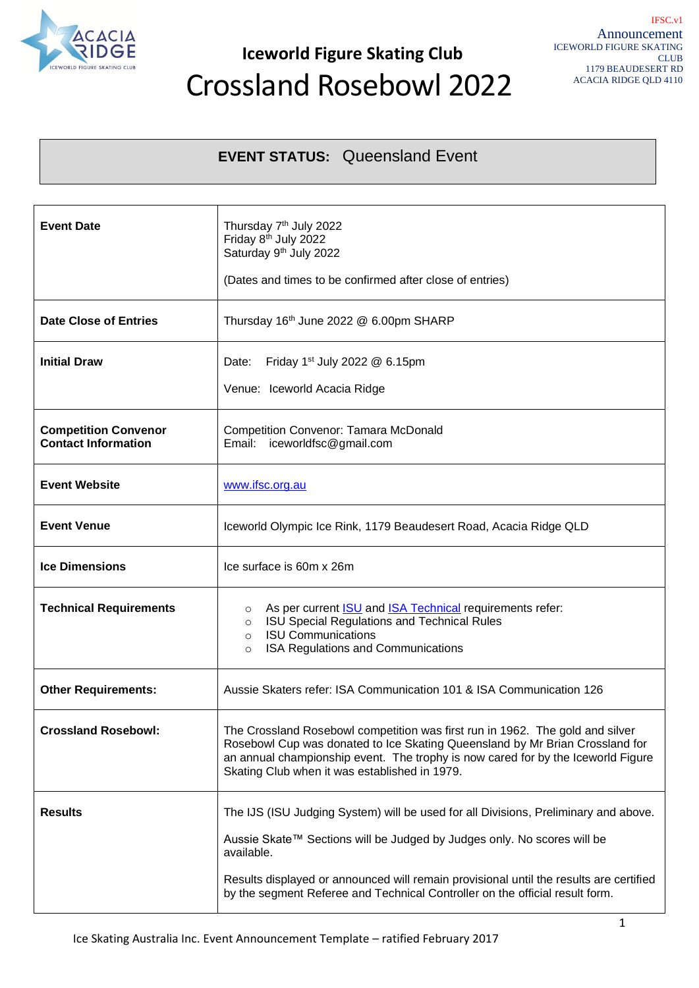

## **Iceworld Figure Skating Club** Crossland Rosebowl 2022

### **EVENT STATUS:** Queensland Event

| <b>Event Date</b>                                         | Thursday 7 <sup>th</sup> July 2022<br>Friday 8 <sup>th</sup> July 2022<br>Saturday 9th July 2022<br>(Dates and times to be confirmed after close of entries)                                                                                                                                                                                           |  |
|-----------------------------------------------------------|--------------------------------------------------------------------------------------------------------------------------------------------------------------------------------------------------------------------------------------------------------------------------------------------------------------------------------------------------------|--|
| <b>Date Close of Entries</b>                              | Thursday 16th June 2022 @ 6.00pm SHARP                                                                                                                                                                                                                                                                                                                 |  |
| <b>Initial Draw</b>                                       | Friday 1 <sup>st</sup> July 2022 $@$ 6.15pm<br>Date:<br>Venue: Iceworld Acacia Ridge                                                                                                                                                                                                                                                                   |  |
| <b>Competition Convenor</b><br><b>Contact Information</b> | <b>Competition Convenor: Tamara McDonald</b><br>Email: iceworldfsc@gmail.com                                                                                                                                                                                                                                                                           |  |
| <b>Event Website</b>                                      | www.ifsc.org.au                                                                                                                                                                                                                                                                                                                                        |  |
| <b>Event Venue</b>                                        | Iceworld Olympic Ice Rink, 1179 Beaudesert Road, Acacia Ridge QLD                                                                                                                                                                                                                                                                                      |  |
| <b>Ice Dimensions</b>                                     | Ice surface is 60m x 26m                                                                                                                                                                                                                                                                                                                               |  |
| <b>Technical Requirements</b>                             | As per current <b>ISU</b> and <b>ISA Technical</b> requirements refer:<br>$\circ$<br>ISU Special Regulations and Technical Rules<br>$\circ$<br><b>ISU Communications</b><br>$\circ$<br>ISA Regulations and Communications<br>$\circ$                                                                                                                   |  |
| <b>Other Requirements:</b>                                | Aussie Skaters refer: ISA Communication 101 & ISA Communication 126                                                                                                                                                                                                                                                                                    |  |
| <b>Crossland Rosebowl:</b>                                | The Crossland Rosebowl competition was first run in 1962. The gold and silver<br>Rosebowl Cup was donated to Ice Skating Queensland by Mr Brian Crossland for<br>an annual championship event. The trophy is now cared for by the Iceworld Figure<br>Skating Club when it was established in 1979.                                                     |  |
| <b>Results</b>                                            | The IJS (ISU Judging System) will be used for all Divisions, Preliminary and above.<br>Aussie Skate™ Sections will be Judged by Judges only. No scores will be<br>available.<br>Results displayed or announced will remain provisional until the results are certified<br>by the segment Referee and Technical Controller on the official result form. |  |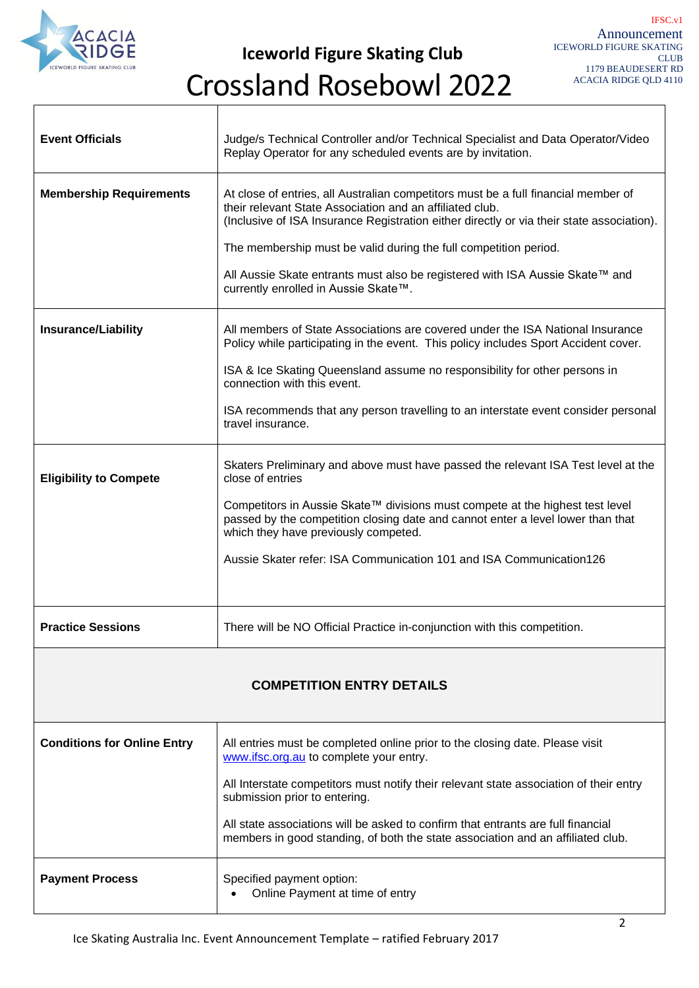

**Iceworld Figure Skating Club**

## Crossland Rosebowl 2022

| <b>Event Officials</b>             | Judge/s Technical Controller and/or Technical Specialist and Data Operator/Video<br>Replay Operator for any scheduled events are by invitation.                                                                                                                                                                                                                                                                                         |  |  |  |
|------------------------------------|-----------------------------------------------------------------------------------------------------------------------------------------------------------------------------------------------------------------------------------------------------------------------------------------------------------------------------------------------------------------------------------------------------------------------------------------|--|--|--|
| <b>Membership Requirements</b>     | At close of entries, all Australian competitors must be a full financial member of<br>their relevant State Association and an affiliated club.<br>(Inclusive of ISA Insurance Registration either directly or via their state association).<br>The membership must be valid during the full competition period.<br>All Aussie Skate entrants must also be registered with ISA Aussie Skate™ and<br>currently enrolled in Aussie Skate™. |  |  |  |
| <b>Insurance/Liability</b>         | All members of State Associations are covered under the ISA National Insurance<br>Policy while participating in the event. This policy includes Sport Accident cover.<br>ISA & Ice Skating Queensland assume no responsibility for other persons in<br>connection with this event.<br>ISA recommends that any person travelling to an interstate event consider personal<br>travel insurance.                                           |  |  |  |
| <b>Eligibility to Compete</b>      | Skaters Preliminary and above must have passed the relevant ISA Test level at the<br>close of entries<br>Competitors in Aussie Skate™ divisions must compete at the highest test level<br>passed by the competition closing date and cannot enter a level lower than that<br>which they have previously competed.<br>Aussie Skater refer: ISA Communication 101 and ISA Communication126                                                |  |  |  |
| <b>Practice Sessions</b>           | There will be NO Official Practice in-conjunction with this competition.                                                                                                                                                                                                                                                                                                                                                                |  |  |  |
| <b>COMPETITION ENTRY DETAILS</b>   |                                                                                                                                                                                                                                                                                                                                                                                                                                         |  |  |  |
| <b>Conditions for Online Entry</b> | All entries must be completed online prior to the closing date. Please visit<br>www.ifsc.org.au to complete your entry.<br>All Interstate competitors must notify their relevant state association of their entry<br>submission prior to entering.<br>All state associations will be asked to confirm that entrants are full financial<br>members in good standing, of both the state association and an affiliated club.               |  |  |  |
| <b>Payment Process</b>             | Specified payment option:<br>Online Payment at time of entry                                                                                                                                                                                                                                                                                                                                                                            |  |  |  |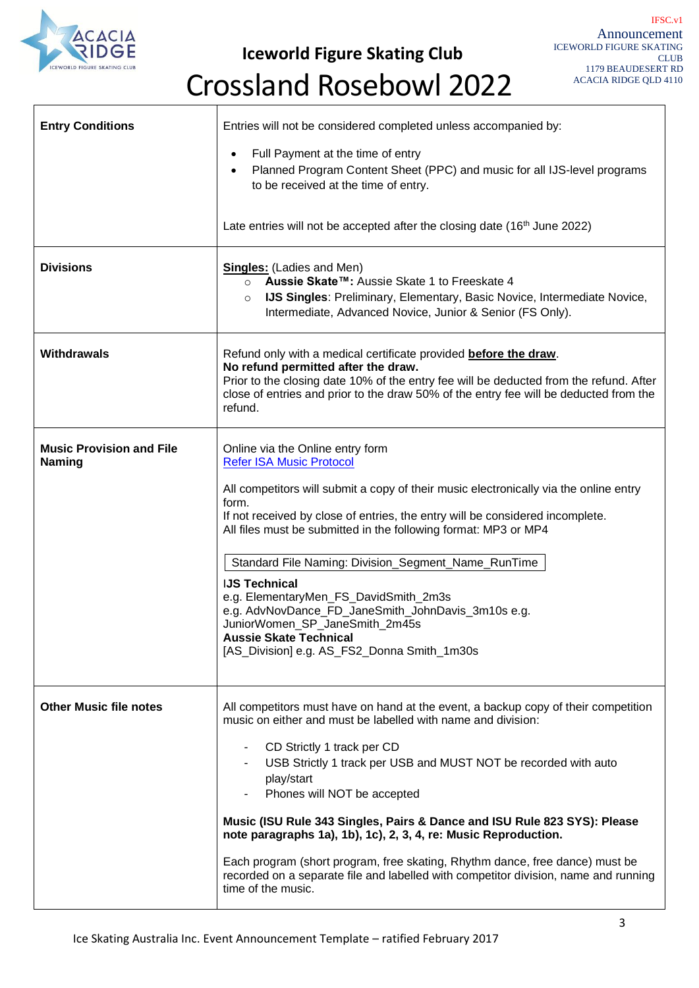

**Iceworld Figure Skating Club**

# Crossland Rosebowl 2022

| <b>Entry Conditions</b>                   | Entries will not be considered completed unless accompanied by:<br>Full Payment at the time of entry<br>$\bullet$<br>Planned Program Content Sheet (PPC) and music for all IJS-level programs<br>$\bullet$<br>to be received at the time of entry.<br>Late entries will not be accepted after the closing date (16 <sup>th</sup> June 2022)                                                                                                                                                                                                                                                                                                  |
|-------------------------------------------|----------------------------------------------------------------------------------------------------------------------------------------------------------------------------------------------------------------------------------------------------------------------------------------------------------------------------------------------------------------------------------------------------------------------------------------------------------------------------------------------------------------------------------------------------------------------------------------------------------------------------------------------|
| <b>Divisions</b>                          | <b>Singles:</b> (Ladies and Men)<br>Aussie Skate™: Aussie Skate 1 to Freeskate 4<br>$\circ$<br><b>IJS Singles: Preliminary, Elementary, Basic Novice, Intermediate Novice,</b><br>$\circ$<br>Intermediate, Advanced Novice, Junior & Senior (FS Only).                                                                                                                                                                                                                                                                                                                                                                                       |
| Withdrawals                               | Refund only with a medical certificate provided before the draw.<br>No refund permitted after the draw.<br>Prior to the closing date 10% of the entry fee will be deducted from the refund. After<br>close of entries and prior to the draw 50% of the entry fee will be deducted from the<br>refund.                                                                                                                                                                                                                                                                                                                                        |
| <b>Music Provision and File</b><br>Naming | Online via the Online entry form<br><b>Refer ISA Music Protocol</b><br>All competitors will submit a copy of their music electronically via the online entry<br>form.<br>If not received by close of entries, the entry will be considered incomplete.<br>All files must be submitted in the following format: MP3 or MP4<br>Standard File Naming: Division_Segment_Name_RunTime<br><b>IJS Technical</b><br>e.g. ElementaryMen_FS_DavidSmith_2m3s<br>e.g. AdvNovDance_FD_JaneSmith_JohnDavis_3m10s e.g.<br>JuniorWomen_SP_JaneSmith_2m45s<br><b>Aussie Skate Technical</b><br>[AS_Division] e.g. AS_FS2_Donna Smith_1m30s                    |
| <b>Other Music file notes</b>             | All competitors must have on hand at the event, a backup copy of their competition<br>music on either and must be labelled with name and division:<br>CD Strictly 1 track per CD<br>USB Strictly 1 track per USB and MUST NOT be recorded with auto<br>play/start<br>Phones will NOT be accepted<br>Music (ISU Rule 343 Singles, Pairs & Dance and ISU Rule 823 SYS): Please<br>note paragraphs 1a), 1b), 1c), 2, 3, 4, re: Music Reproduction.<br>Each program (short program, free skating, Rhythm dance, free dance) must be<br>recorded on a separate file and labelled with competitor division, name and running<br>time of the music. |